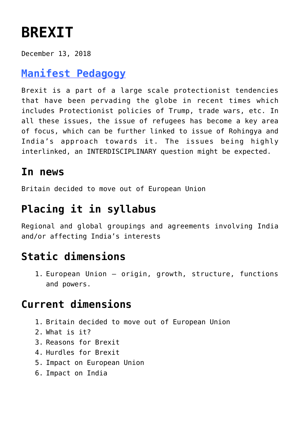# **[BREXIT](https://journalsofindia.com/brexit/)**

December 13, 2018

# **[Manifest Pedagogy](https://www.manifestias.com/2018/11/05/manifest-pedagogy-looking-beyond-the-issue/)**

Brexit is a part of a large scale protectionist tendencies that have been pervading the globe in recent times which includes Protectionist policies of Trump, trade wars, etc. In all these issues, the issue of refugees has become a key area of focus, which can be further linked to issue of Rohingya and India's approach towards it. The issues being highly interlinked, an INTERDISCIPLINARY question might be expected.

## **In news**

Britain decided to move out of European Union

# **Placing it in syllabus**

Regional and global groupings and agreements involving India and/or affecting India's interests

# **Static dimensions**

1. European Union – origin, growth, structure, functions and powers.

# **Current dimensions**

- 1. Britain decided to move out of European Union
- 2. What is it?
- 3. Reasons for Brexit
- 4. Hurdles for Brexit
- 5. Impact on European Union
- 6. Impact on India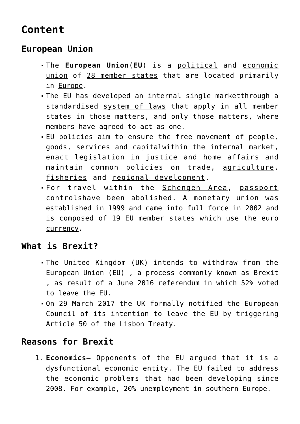# **Content**

## **European Union**

- The **European Union**(**EU**) is a [political](https://en.wikipedia.org/wiki/Political_union) and [economic](https://en.wikipedia.org/wiki/Economic_union) [union](https://en.wikipedia.org/wiki/Economic_union) of [28 member states](https://en.wikipedia.org/wiki/Member_state_of_the_European_Union) that are located primarily in [Europe](https://en.wikipedia.org/wiki/Europe).
- The EU has developed [an internal single market](https://en.wikipedia.org/wiki/European_Single_Market)through a standardised [system of laws](https://en.wikipedia.org/wiki/European_Union_law) that apply in all member states in those matters, and only those matters, where members have agreed to act as one.
- **EU** policies aim to ensure the [free movement of people,](https://en.wikipedia.org/wiki/Single_market) [goods, services and capital](https://en.wikipedia.org/wiki/Single_market)within the internal market, enact legislation in justice and home affairs and maintain common policies on trade, [agriculture,](https://en.wikipedia.org/wiki/Common_Agricultural_Policy) [fisheries](https://en.wikipedia.org/wiki/Common_Fisheries_Policy) and [regional development.](https://en.wikipedia.org/wiki/Regional_policy_of_the_European_Union)
- For travel within the [Schengen Area,](https://en.wikipedia.org/wiki/Schengen_Area) [passport](https://en.wikipedia.org/wiki/Passport_control) [controlsh](https://en.wikipedia.org/wiki/Passport_control)ave been abolished. [A monetary union](https://en.wikipedia.org/wiki/Eurozone) was established in 1999 and came into full force in 2002 and is composed of [19 EU member states](https://en.wikipedia.org/wiki/Eurozone) which use the [euro](https://en.wikipedia.org/wiki/Euro) [currency](https://en.wikipedia.org/wiki/Euro).

## **What is Brexit?**

- The United Kingdom (UK) intends to withdraw from the European Union (EU) , a process commonly known as Brexit , as result of a June 2016 referendum in which 52% voted to leave the EU.
- On 29 March 2017 the UK formally notified the European Council of its intention to leave the EU by triggering Article 50 of the Lisbon Treaty.

## **Reasons for Brexit**

1. **Economics–** Opponents of the EU argued that it is a dysfunctional economic entity. The EU failed to address the economic problems that had been developing since 2008. For example, 20% unemployment in southern Europe.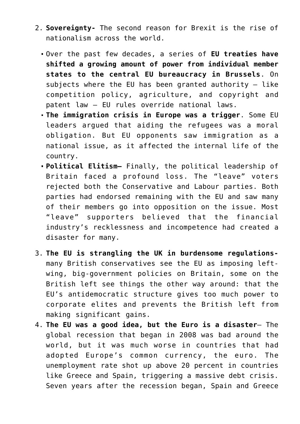- 2. **Sovereignty-** The second reason for Brexit is the rise of nationalism across the world.
	- Over the past few decades, a series of **EU treaties have shifted a growing amount of power from individual member states to the central EU bureaucracy in Brussels**. On subjects where the EU has been granted authority  $-$  like competition policy, agriculture, and copyright and patent law — EU rules override national laws.
	- **The immigration crisis in Europe was a trigger**. Some EU leaders argued that aiding the refugees was a moral obligation. But EU opponents saw immigration as a national issue, as it affected the internal life of the country.
	- **Political Elitism–** Finally, the political leadership of Britain faced a profound loss. The "leave" voters rejected both the Conservative and Labour parties. Both parties had endorsed remaining with the EU and saw many of their members go into opposition on the issue. Most "leave" supporters believed that the financial industry's recklessness and incompetence had created a disaster for many.
- 3. **The EU is strangling the UK in burdensome regulations**many British conservatives see the EU as imposing leftwing, big-government policies on Britain, some on the British left see things the other way around: that the EU's antidemocratic structure gives too much power to corporate elites and prevents the British left from making significant gains.
- 4. **The EU was a good idea, but the Euro is a disaster** The global recession that began in 2008 was bad around the world, but it was much worse in countries that had adopted Europe's common currency, the euro. The unemployment rate shot up above 20 percent in countries like Greece and Spain, triggering a massive debt crisis. Seven years after the recession began, Spain and Greece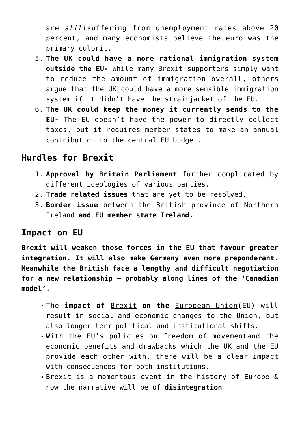are *still*suffering from unemployment rates above 20 percent, and many economists believe the [euro was the](https://www.vox.com/2015/6/30/8868973/euro-greece-crisis-mistake) [primary culprit](https://www.vox.com/2015/6/30/8868973/euro-greece-crisis-mistake).

- 5. **The UK could have a more rational immigration system outside the EU-** While many Brexit supporters simply want to reduce the amount of immigration overall, others argue that the UK could have a more sensible immigration system if it didn't have the straitjacket of the EU.
- 6. **The UK could keep the money it currently sends to the EU-** The EU doesn't have the power to directly collect taxes, but it requires member states to make an annual contribution to the central EU budget.

### **Hurdles for Brexit**

- 1. **Approval by Britain Parliament** further complicated by different ideologies of various parties.
- 2. **Trade related issues** that are yet to be resolved.
- 3. **Border issue** between the British province of Northern Ireland **and EU member state Ireland.**

### **Impact on EU**

**Brexit will weaken those forces in the EU that favour greater integration. It will also make Germany even more preponderant. Meanwhile the British face a lengthy and difficult negotiation for a new relationship – probably along lines of the 'Canadian model'.**

- The **impact of** [Brexit](https://en.wikipedia.org/wiki/Brexit) **on the** [European Union](https://en.wikipedia.org/wiki/European_Union)(EU) will result in social and economic changes to the Union, but also longer term political and institutional shifts.
- With the EU's policies on [freedom of movementa](https://en.wikipedia.org/wiki/Freedom_of_movement)nd the economic benefits and drawbacks which the UK and the EU provide each other with, there will be a clear impact with consequences for both institutions.
- Brexit is a momentous event in the history of Europe & now the narrative will be of **disintegration**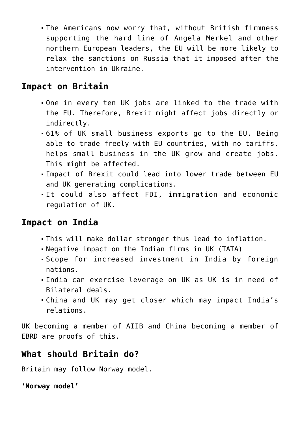The Americans now worry that, without British firmness supporting the hard line of Angela Merkel and other northern European leaders, the EU will be more likely to relax the sanctions on Russia that it imposed after the intervention in Ukraine.

## **Impact on Britain**

- One in every ten UK jobs are linked to the trade with the EU. Therefore, Brexit might affect jobs directly or indirectly.
- 61% of UK small business exports go to the EU. Being able to trade freely with EU countries, with no tariffs, helps small business in the UK grow and create jobs. This might be affected.
- Impact of Brexit could lead into lower trade between EU and UK generating complications.
- It could also affect FDI, immigration and economic regulation of UK.

### **Impact on India**

- This will make dollar stronger thus lead to inflation.
- Negative impact on the Indian firms in UK (TATA)
- Scope for increased investment in India by foreign nations.
- India can exercise leverage on UK as UK is in need of Bilateral deals.
- China and UK may get closer which may impact India's relations.

UK becoming a member of AIIB and China becoming a member of EBRD are proofs of this.

## **What should Britain do?**

Britain may follow Norway model.

```
'Norway model'
```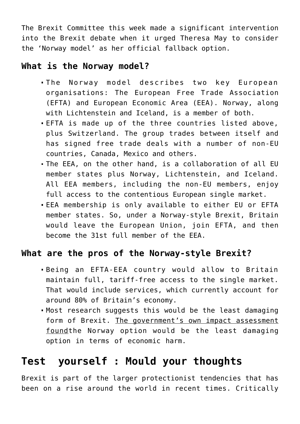The Brexit Committee this week made a significant intervention into the Brexit debate when it urged Theresa May to consider the 'Norway model' as her official fallback option.

### **What is the Norway model?**

- The Norway model describes two key European organisations: The European Free Trade Association (EFTA) and European Economic Area (EEA). Norway, along with Lichtenstein and Iceland, is a member of both.
- EFTA is made up of the three countries listed above, plus Switzerland. The group trades between itself and has signed free trade deals with a number of non-EU countries, Canada, Mexico and others.
- The EEA, on the other hand, is a collaboration of all EU member states plus Norway, Lichtenstein, and Iceland. All EEA members, including the non-EU members, enjoy full access to the contentious European single market.
- EEA membership is only available to either EU or EFTA member states. So, under a Norway-style Brexit, Britain would leave the European Union, join EFTA, and then become the 31st full member of the EEA.

## **What are the pros of the Norway-style Brexit?**

- Being an EFTA-EEA country would allow to Britain maintain full, tariff-free access to the single market. That would include services, which currently account for around 80% of Britain's economy.
- Most research suggests this would be the least damaging form of Brexit. [The government's own impact assessment](https://uk.businessinsider.com/theresa-may-is-going-to-publish-the-leaked-brexit-impact-paper-2018-1) [foundt](https://uk.businessinsider.com/theresa-may-is-going-to-publish-the-leaked-brexit-impact-paper-2018-1)he Norway option would be the least damaging option in terms of economic harm.

# **Test yourself : Mould your thoughts**

Brexit is part of the larger protectionist tendencies that has been on a rise around the world in recent times. Critically